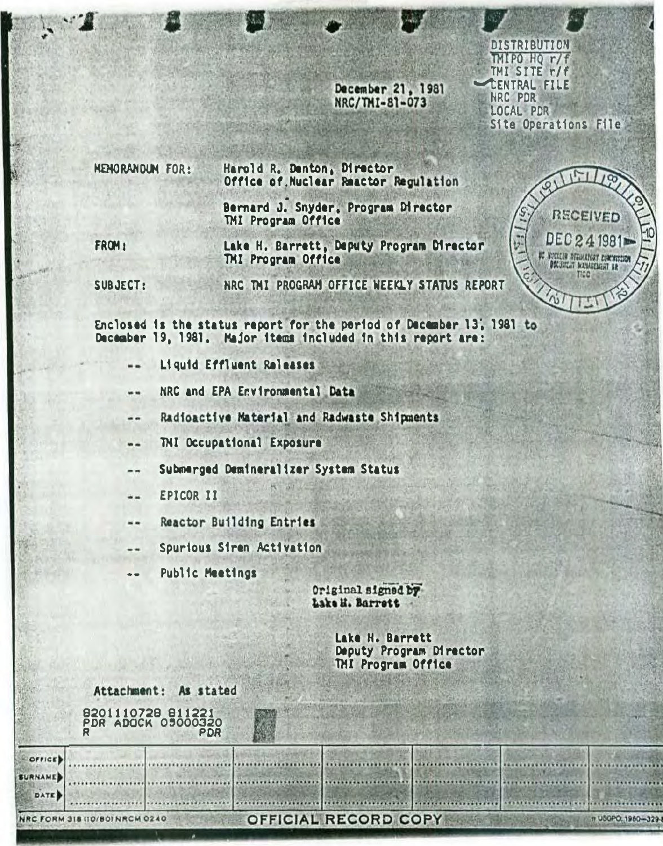December 21, 1981 NRC/TMI-81-073

**DISTRIBUTION** TMIPO HO r/f TMI SITE r/f **CENTRAL FILE** NRC PDR LOCAL PDR Site Operations File

**RECEIVED** 

DEC241981

US NOCLEAR REGINATORY COMMISSION

TICO.

n USGPO, 1980-329-1

**HENORANDUM FOR:** 

Harold R. Denton, Director Office of Nuclear Reactor Regulation

Bernard J. Snyder. Program Director TMI Program Office

FROM:

Lake H. Barrett, Deputy Program Director TMI Program Office

SUBJECT:

NRC TMI PROGRAM OFFICE WEEKLY STATUS REPORT

Enclosed is the status report for the period of Dacember 13, 1981 to December 19, 1981. Major items included in this report are:

- Liquid Effluent Releases --
- NRC and EPA Environmental Data
- Radioactive Material and Radwaste Shipments ..
- TMI Occupational Exposure  $\blacksquare$
- Submarged Demineralizer System Status --
- **EPICOR II**
- Reactor Building Entries  $= -$
- Spurious Siren Activation  $-1$
- **Public Meetings**

Original signed by Lake H. Barrett

OFFICIAL RECORD COPY

Lake H. Barrett Deputy Program Director THI Program Office

| Attachment: As stated                         |            |  |
|-----------------------------------------------|------------|--|
| 8201110728 811221<br>PDR ADOCK 05000320<br>R. | <b>PDR</b> |  |
|                                               |            |  |

OFFICE **BURNAME DATE** 

NRC FORM 318 (10/80) NRCM 0240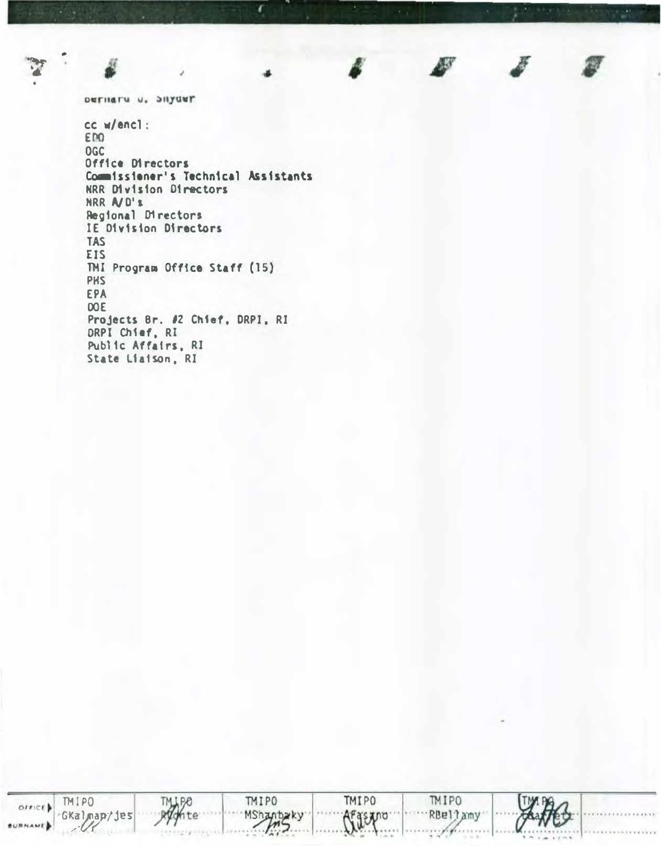```
DETHATU U. SHYGET
```

```
cc w/encl:
ED<sub>0</sub>
OGC
Office Directors
Commissioner's Technical Assistants
NRR Division Directors
NRR NO'S
Regional Directors
IE Division Directors
TAS
EIS
TMI Program Office Staff (15)
PHS
EPA
DOE
Projects Br. #2 Chief, DRPI, RI
ORPI Chief, RI
Public Affairs, RI
State Liaison, RI
```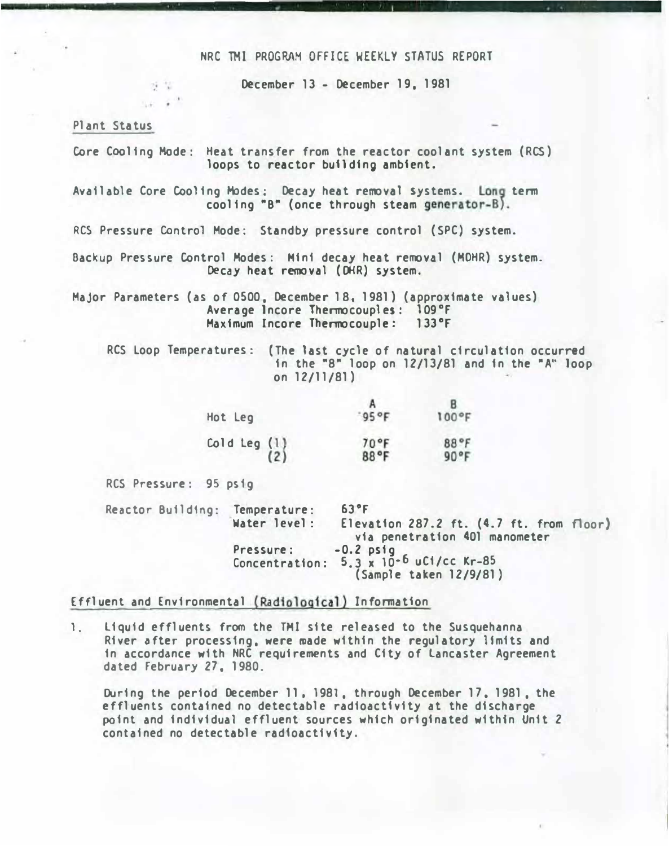#### NRC TMI PROGRAM OFFICE WEEKLY STATUS REPORT

December 13 - December 19, 1981

Plant Status

投资  $34.41$ 

Core Cooling Mode: Heat transfer from the reactor coolant system (RCS) loops to reactor building ambient.

Available Core Cooling Hodes: Decay heat removal systems. Lon9 term cooling "B" (once through steam generator-B).

RCS Pressure Control Mode: Standby pressure control (SPC) system.

Backup Pressure Control Modes: Hin1 decay heat removal (MOHR) system. Decay heat removal (DHR) system.

Major Parameters (as of 0500, December 18. 1981) (approximate values) Average Incore Thermocouples: 109°F<br>Maximum Incore Thermocouple: 133°F Maximum Incore Thermocouple:

RCS Loop Temperatures: {The last cycle of natural circulation occurred in the "8" loop on  $12/13/81$  and in the "A" loop on 12/ll /81)

| Hot Leg                 | 95°F | 100°F |
|-------------------------|------|-------|
| Cold Leg $(1)$<br>$(2)$ | 70°F | 88°F  |
|                         | 88°F | 90°F  |

RCS Pressure: 95 ps1g

Reactor Building: Temperature: Water level: Pressure: Concentration: 63°F Elevation 287.2 ft. (4.7 ft. from floor) via penetration 401 manometer -0.2 psig  $5.3 \times 10^{-6}$  uCi/cc Kr-85 (Sample taken 12/9/81)

Effluent and Environmental (Radiological) Information

1. L1qutd effluents from the TMI site released to the Susquehanna River after processing, were made within the regulatory limits and in accordance with NRC requirements and City of lancaster Agreement dated February 27, 1980.

During the period December 11. 1981, through December 17, 1981, the effluents contained no detectable radioactivity at the discharge point and individual effluent sources which originated within Unit 2 contained no detectable radioactivity.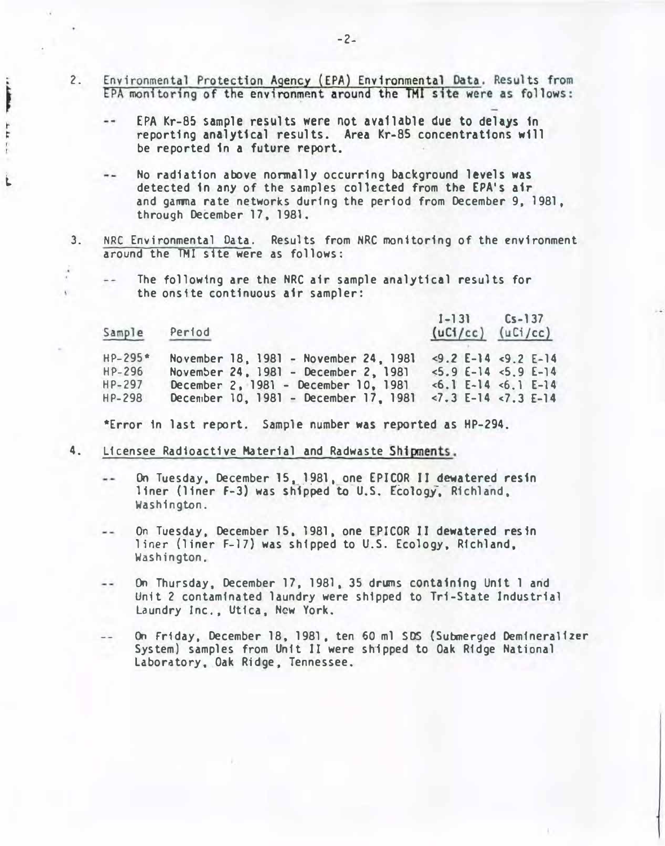- Environmental Protection Agency (EPA) Environmental Data. Results from 2. EPA monitoring of the environment around the TMI site were as follows:
	- EPA Kr-85 sample results were not available due to delays in  $=$ reporting analytical results. Area Kr-85 concentrations will be reported in a future report.
	- No radiation above normally occurring background levels was detected in any of the samples collected from the EPA's air and gamma rate networks during the period from December 9, 1981, through December 17, 1981.
- 3. NRC Environmental Data. Results from NRC monitoring of the environment around the TMI site were as follows:
	- The following are the NRC air sample analytical results for  $\overline{a}$ the onsite continuous air sampler:

| Sample        | Period                                | $[-13]$ $[5 - 137]$<br>$(uC1/cc)$ $(uC1/cc)$ |                           |
|---------------|---------------------------------------|----------------------------------------------|---------------------------|
| $HP - 295*$   | November 18, 1981 - November 24, 1981 |                                              | $<9.2$ E-14 $<9.2$ E-14   |
| $HP-296$      | November 24, 1981 - December 2, 1981  |                                              | $5.9$ $E-14$ $5.9$ $E-14$ |
| HP-297        | December 2, 1981 - December 10, 1981  | $\le 6.1$ E-14 $\le 6.1$ E-14                |                           |
| <b>HP-298</b> | December 10, 1981 - December 17, 1981 |                                              | $< 7.3$ E-14 $< 7.3$ E-14 |

•Error in last report. Sample number was reported as HP-294.

4. Licensee Radioactive Material and Radwaste Shipments.

l

T

 $77$ 

- On Tuesday, December 15, 1981, one EPICOR II dewatered resin  $-1$ liner (liner F-3) was shipped to U.S. Ecology, Richland, Washington.
- On Tuesday, December 15. 1981, one EPICOR II dewatered resin  $-1$ liner (liner F-17) was shipped to U.S. Ecology, Richland, Washington.
- On Thursday. December 17,1981,35 drums containing Un1t 1 and ' Unit 2 contaminated laundry were shipped to Tri-State Industrial Laundry Inc., Utica. New York.
- On Friday. December 18, 1981 , ten 60 ml SOS (Submerged Oemi neral izer --System) samples from Unit II were shipped to Oak Ridge National Laboratory, Oak Ridge, Tennessee.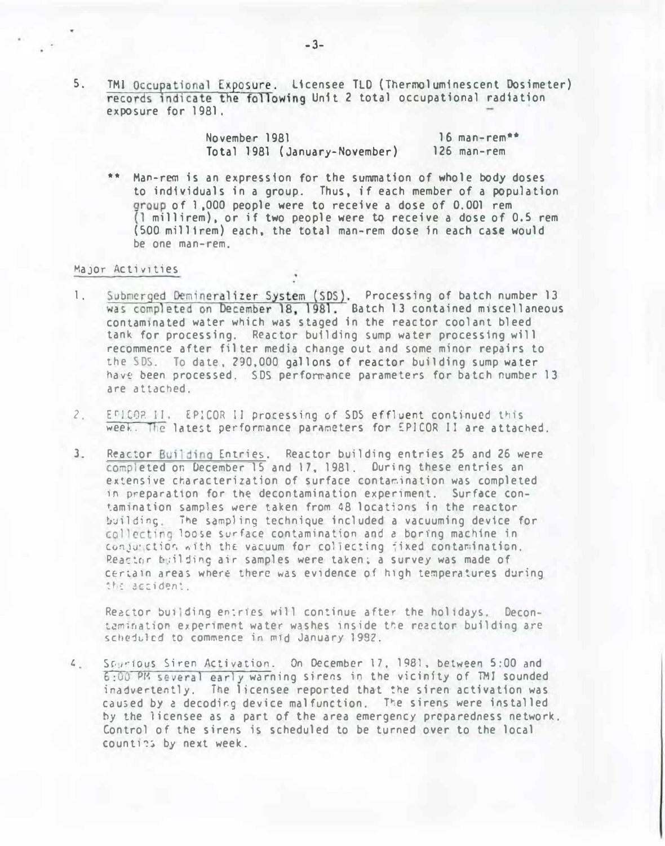5. TMI Occupational Exposure. Licensee TLD (Thermoluminescent Dosimeter) records indicate the following Unit 2 total occupational radiation exposure for 1981.

> November 1981 Total 1981 (January-November)  $16$  man-rem $**$ 126 man-rem

•• Man-rem is an expression for the summation of whole body doses to individuals in a group. Thus, if each member of a population roup of 1 ,000 people were to receive a dose of 0.001 rem (1 mi11irem), or if two people were to receive a dose of 0.5 rem (500 mi11irem) each. the total man-rem dose in each case would be one man-rem.

### Major Activities

- 1. Submerged Demineralizer System (SDS). Processing of batch number 13 was completed on December 18, 1981. Batch 13 contained miscellaneous contaminated water which was staged in the reactor coolant bleed tank for processing. Reactor building sump water processing will recommence after filter media change out and some minor repairs to the SDS. To date, 290,000 gallons of reactor building sump water have been processed. SDS performance parameters for batch number 13 are attached.
- 2. EPICOR II. EPICOR II processing of SDS effluent continued this week. The latest performance parameters for £PICOR II are attached.
- 3. Reactor Building Entries. Reactor building entries 25 and 26 were completed on December 15 and 17, 1981. During these entries an extensive characterization of surface contarination was completed 1n preparatlon for tne decontamination experiment. Surface contamlnation samples were taken from 48 locations in the reactor building. The sampling technique included a vacuuming device for collecting loose surface contamination and a boring machine in conjunction with the vacuum for collecting fixed contamination. Peattor building air samples were taken; a survey was made of c�rta1n areas wnere there was evidence of h1gh tempera�ures during the accident.

Reactor building entries will continue after the holidays. Decontamination experiment water washes inside the reactor building are scheduled to commence in mid January 1992.

t. Sr.··luvs Siren Activation. On December 17, 1981. between 5:00 and 6:00 PI'. several early warning sirens in the vicinfty of TMI sounded inadvertently. The licensee reported that the siren activation was caused by a decoding device malfunction. The sirens were installed by the licensee as a part of the area emergency preparedness network. Control of the sirens is scheduled to be turned over to the local counties by next week.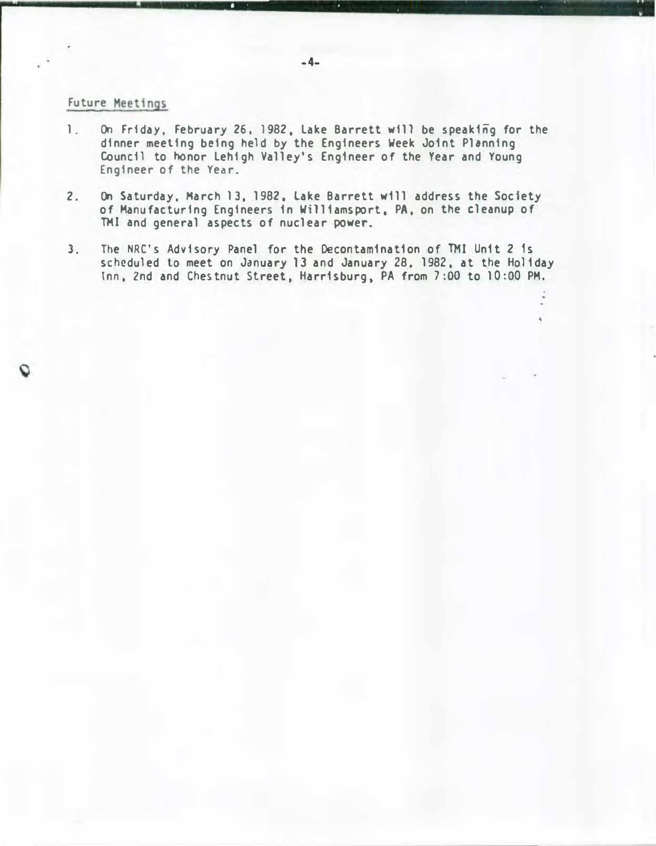## Future Meetings

- 1. On Friday, February 26, 1982, lake Barrett will be speaking for the dinner meeting being held by the Engineers Week Joint Planning Council to honor lehigh Valley's Engineer of the Year and Young Engineer of the Year.
- 2. On Saturday, March 13, 1982, lake Barrett will address the Society of Manufacturing Engineers in Williamsport, PA, on the cleanup of TMI and general aspects of nuclear power.
- 3. The NRC's Advisory Panel for the Decontamination of TMI Unit 2 1s scheduled to meet on January 13 and January 28, 1982, at the Holiday lnn, 2nd and Chestnut Street, Harrisburg. PA from 7:00 to 10:00 PM.